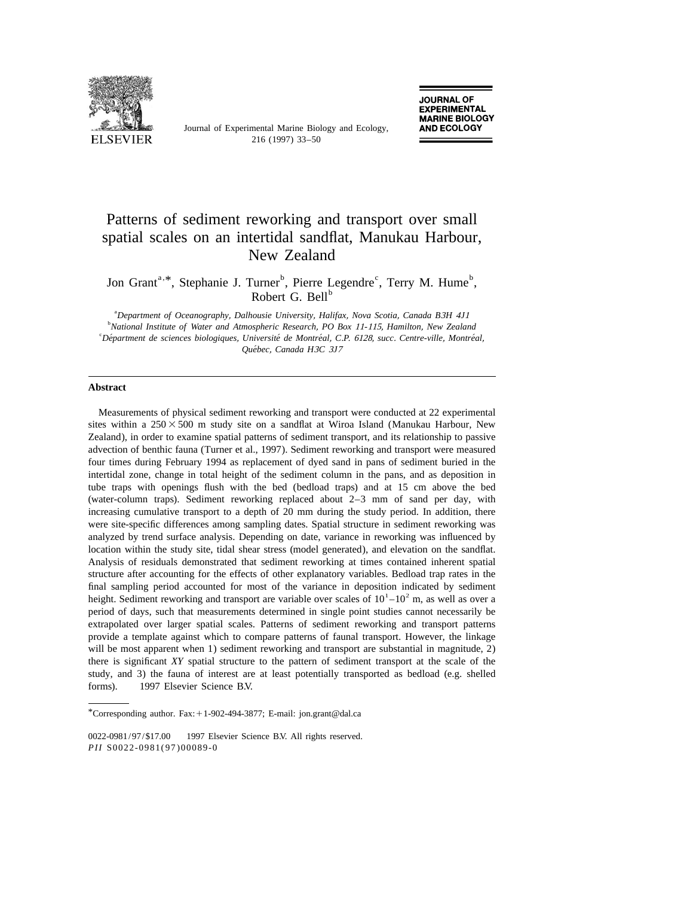

Journal of Experimental Marine Biology and Ecology,

# Patterns of sediment reworking and transport over small spatial scales on an intertidal sandflat, Manukau Harbour, New Zealand

Jon Grant<sup>a, \*</sup>, Stephanie J. Turner<sup>b</sup>, Pierre Legendre<sup>c</sup>, Terry M. Hume<sup>b</sup>, Robert G. Bell<sup>b</sup>

a *Department of Oceanography*, *Dalhousie University*, *Halifax*, *Nova Scotia*, *Canada B*3*H* <sup>4</sup>*J*<sup>1</sup> b *National Institute of Water and Atmospheric Research*, *PO Box* <sup>11</sup>-115, *Hamilton*, *New Zealand* c *Department de sciences biologiques ´ ´´ ´* , *Universite de Montreal*, *C*.*P*. 6128, *succ*. *Centre*-*ville*, *Montreal*, *Quebec ´* , *Canada H*3*C* <sup>3</sup>*J*<sup>7</sup>

#### **Abstract**

Measurements of physical sediment reworking and transport were conducted at 22 experimental sites within a  $250 \times 500$  m study site on a sandflat at Wiroa Island (Manukau Harbour, New Zealand), in order to examine spatial patterns of sediment transport, and its relationship to passive advection of benthic fauna (Turner et al., 1997). Sediment reworking and transport were measured four times during February 1994 as replacement of dyed sand in pans of sediment buried in the intertidal zone, change in total height of the sediment column in the pans, and as deposition in tube traps with openings flush with the bed (bedload traps) and at 15 cm above the bed (water-column traps). Sediment reworking replaced about 2–3 mm of sand per day, with increasing cumulative transport to a depth of 20 mm during the study period. In addition, there were site-specific differences among sampling dates. Spatial structure in sediment reworking was analyzed by trend surface analysis. Depending on date, variance in reworking was influenced by location within the study site, tidal shear stress (model generated), and elevation on the sandflat. Analysis of residuals demonstrated that sediment reworking at times contained inherent spatial structure after accounting for the effects of other explanatory variables. Bedload trap rates in the final sampling period accounted for most of the variance in deposition indicated by sediment height. Sediment reworking and transport are variable over scales of  $10<sup>1</sup> - 10<sup>2</sup>$  m, as well as over a period of days, such that measurements determined in single point studies cannot necessarily be extrapolated over larger spatial scales. Patterns of sediment reworking and transport patterns provide a template against which to compare patterns of faunal transport. However, the linkage will be most apparent when 1) sediment reworking and transport are substantial in magnitude, 2) there is significant *XY* spatial structure to the pattern of sediment transport at the scale of the study, and 3) the fauna of interest are at least potentially transported as bedload (e.g. shelled forms).  $© 1997 Elsevier Science BY.$ 

<sup>\*</sup>Corresponding author. Fax:  $+1-902-494-3877$ ; E-mail: jon.grant@dal.ca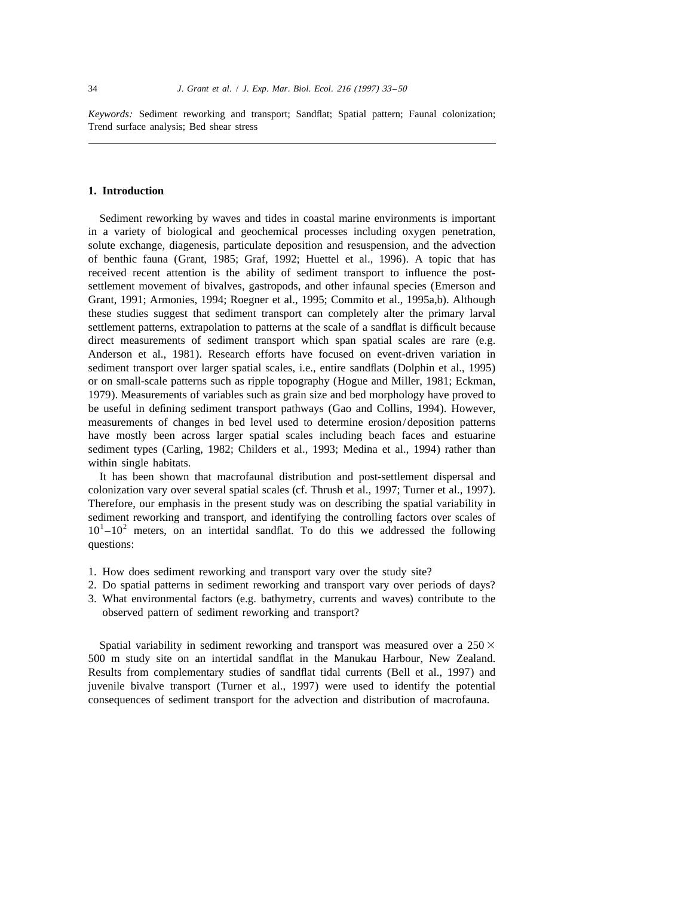*Keywords*: Sediment reworking and transport; Sandflat; Spatial pattern; Faunal colonization; Trend surface analysis; Bed shear stress

# **1. Introduction**

Sediment reworking by waves and tides in coastal marine environments is important in a variety of biological and geochemical processes including oxygen penetration, solute exchange, diagenesis, particulate deposition and resuspension, and the advection of benthic fauna (Grant, 1985; Graf, 1992; Huettel et al., 1996). A topic that has received recent attention is the ability of sediment transport to influence the postsettlement movement of bivalves, gastropods, and other infaunal species (Emerson and Grant, 1991; Armonies, 1994; Roegner et al., 1995; Commito et al., 1995a,b). Although these studies suggest that sediment transport can completely alter the primary larval settlement patterns, extrapolation to patterns at the scale of a sandflat is difficult because direct measurements of sediment transport which span spatial scales are rare (e.g. Anderson et al., 1981). Research efforts have focused on event-driven variation in sediment transport over larger spatial scales, i.e., entire sandflats (Dolphin et al., 1995) or on small-scale patterns such as ripple topography (Hogue and Miller, 1981; Eckman, 1979). Measurements of variables such as grain size and bed morphology have proved to be useful in defining sediment transport pathways (Gao and Collins, 1994). However, measurements of changes in bed level used to determine erosion/deposition patterns have mostly been across larger spatial scales including beach faces and estuarine sediment types (Carling, 1982; Childers et al., 1993; Medina et al., 1994) rather than within single habitats.

It has been shown that macrofaunal distribution and post-settlement dispersal and colonization vary over several spatial scales (cf. Thrush et al., 1997; Turner et al., 1997). Therefore, our emphasis in the present study was on describing the spatial variability in sediment reworking and transport, and identifying the controlling factors over scales of  $10<sup>1</sup> - 10<sup>2</sup>$  meters, on an intertidal sandflat. To do this we addressed the following questions:

- 1. How does sediment reworking and transport vary over the study site?
- 2. Do spatial patterns in sediment reworking and transport vary over periods of days?
- 3. What environmental factors (e.g. bathymetry, currents and waves) contribute to the observed pattern of sediment reworking and transport?

Spatial variability in sediment reworking and transport was measured over a  $250 \times$ 500 m study site on an intertidal sandflat in the Manukau Harbour, New Zealand. Results from complementary studies of sandflat tidal currents (Bell et al., 1997) and juvenile bivalve transport (Turner et al., 1997) were used to identify the potential consequences of sediment transport for the advection and distribution of macrofauna.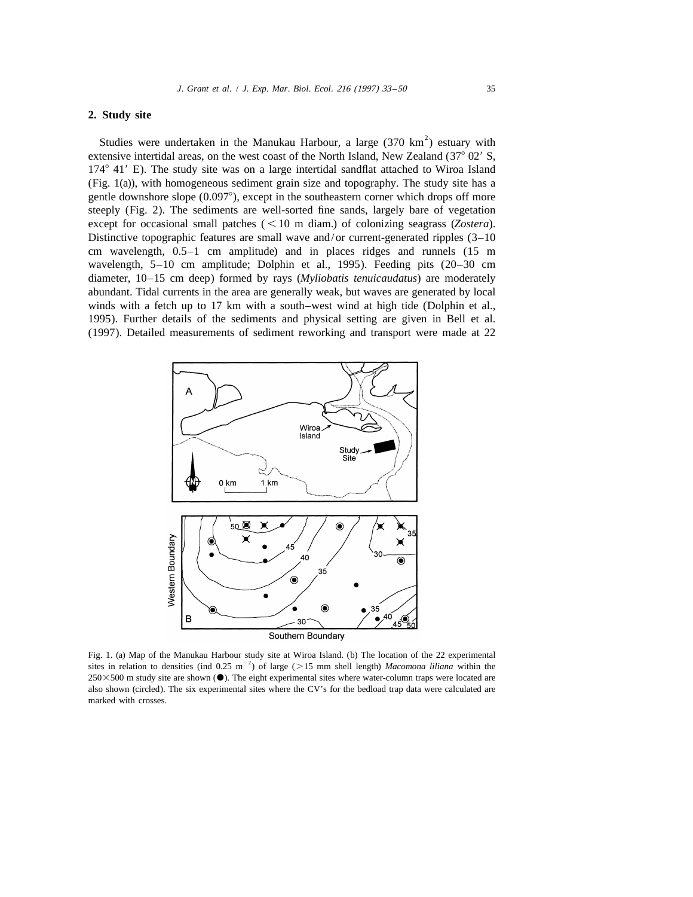# **2. Study site**

Studies were undertaken in the Manukau Harbour, a large  $(370 \text{ km}^2)$  estuary with extensive intertidal areas, on the west coast of the North Island, New Zealand  $(37^{\circ} 02' S,$  $174^{\circ}$  41' E). The study site was on a large intertidal sandflat attached to Wiroa Island (Fig. 1(a)), with homogeneous sediment grain size and topography. The study site has a gentle downshore slope  $(0.097^{\circ})$ , except in the southeastern corner which drops off more steeply (Fig. 2). The sediments are well-sorted fine sands, largely bare of vegetation except for occasional small patches  $(< 10 \text{ m}$  diam.) of colonizing seagrass (*Zostera*). Distinctive topographic features are small wave and/or current-generated ripples  $(3-10)$ cm wavelength, 0.5–1 cm amplitude) and in places ridges and runnels (15 m wavelength, 5–10 cm amplitude; Dolphin et al., 1995). Feeding pits (20–30 cm diameter, 10–15 cm deep) formed by rays (*Myliobatis tenuicaudatus*) are moderately abundant. Tidal currents in the area are generally weak, but waves are generated by local winds with a fetch up to 17 km with a south–west wind at high tide (Dolphin et al., 1995). Further details of the sediments and physical setting are given in Bell et al. (1997). Detailed measurements of sediment reworking and transport were made at 22



Fig. 1. (a) Map of the Manukau Harbour study site at Wiroa Island. (b) The location of the 22 experimental sites in relation to densities (ind  $0.25 \text{ m}^{-2}$ ) of large ( $>15 \text{ mm}$  shell length) *Macomona liliana* within the  $250\times500$  m study site are shown ( $\bullet$ ). The eight experimental sites where water-column traps were located are also shown (circled). The six experimental sites where the CV's for the bedload trap data were calculated are marked with crosses.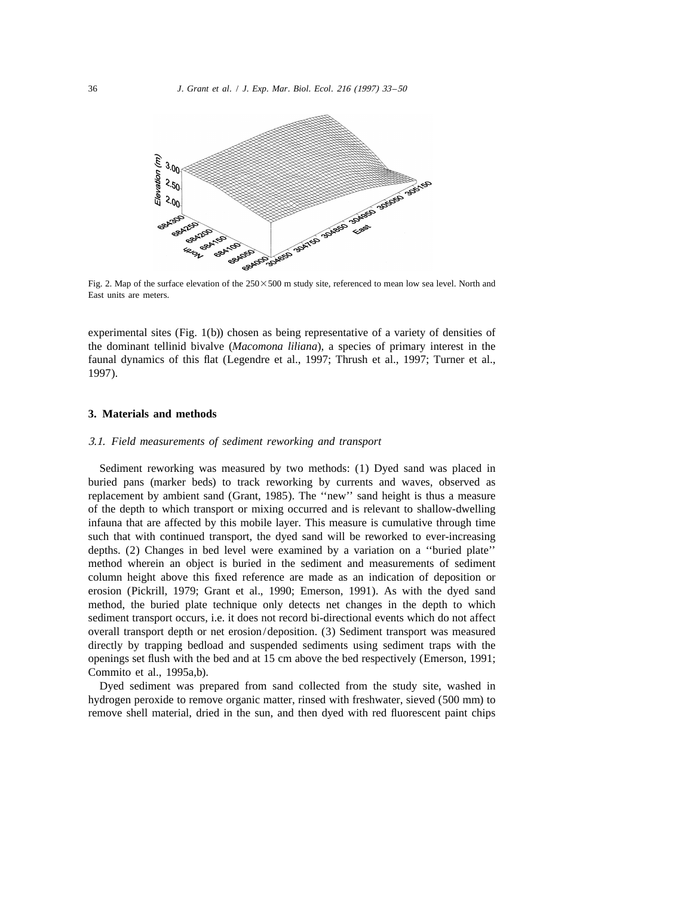

East units are meters.

experimental sites (Fig. 1(b)) chosen as being representative of a variety of densities of the dominant tellinid bivalve (*Macomona liliana*), a species of primary interest in the faunal dynamics of this flat (Legendre et al., 1997; Thrush et al., 1997; Turner et al., 1997).

#### **3. Materials and methods**

# 3.1. *Field measurements of sediment reworking and transport*

Sediment reworking was measured by two methods: (1) Dyed sand was placed in buried pans (marker beds) to track reworking by currents and waves, observed as replacement by ambient sand (Grant, 1985). The ''new'' sand height is thus a measure of the depth to which transport or mixing occurred and is relevant to shallow-dwelling infauna that are affected by this mobile layer. This measure is cumulative through time such that with continued transport, the dyed sand will be reworked to ever-increasing depths. (2) Changes in bed level were examined by a variation on a ''buried plate'' method wherein an object is buried in the sediment and measurements of sediment column height above this fixed reference are made as an indication of deposition or erosion (Pickrill, 1979; Grant et al., 1990; Emerson, 1991). As with the dyed sand method, the buried plate technique only detects net changes in the depth to which sediment transport occurs, i.e. it does not record bi-directional events which do not affect overall transport depth or net erosion/deposition. (3) Sediment transport was measured directly by trapping bedload and suspended sediments using sediment traps with the openings set flush with the bed and at 15 cm above the bed respectively (Emerson, 1991; Commito et al., 1995a,b).

Dyed sediment was prepared from sand collected from the study site, washed in hydrogen peroxide to remove organic matter, rinsed with freshwater, sieved (500 mm) to remove shell material, dried in the sun, and then dyed with red fluorescent paint chips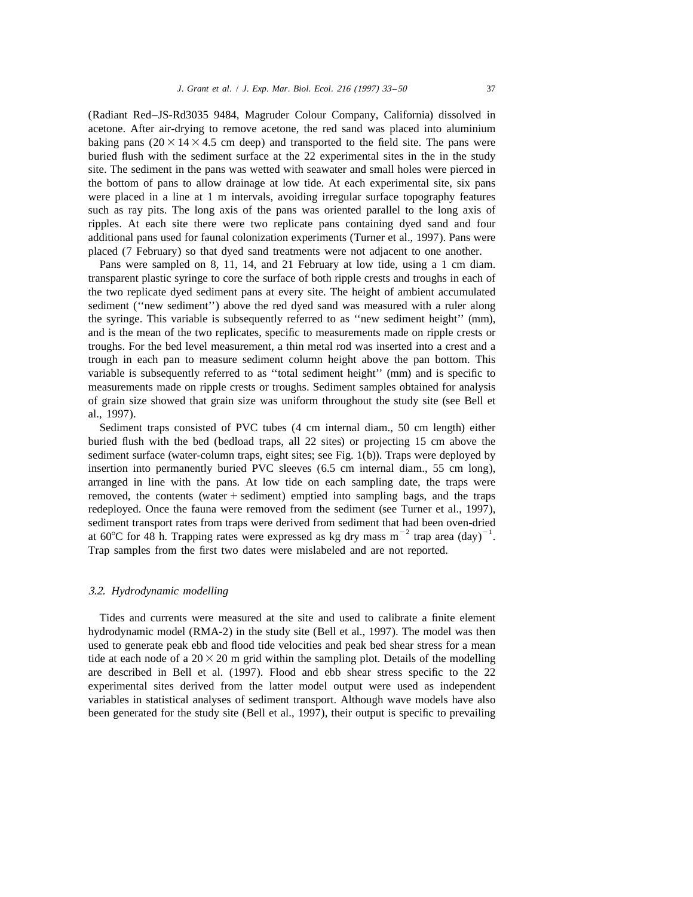(Radiant Red–JS-Rd3035 9484, Magruder Colour Company, California) dissolved in acetone. After air-drying to remove acetone, the red sand was placed into aluminium baking pans  $(20 \times 14 \times 4.5 \text{ cm}$  deep) and transported to the field site. The pans were buried flush with the sediment surface at the 22 experimental sites in the in the study site. The sediment in the pans was wetted with seawater and small holes were pierced in the bottom of pans to allow drainage at low tide. At each experimental site, six pans were placed in a line at 1 m intervals, avoiding irregular surface topography features such as ray pits. The long axis of the pans was oriented parallel to the long axis of ripples. At each site there were two replicate pans containing dyed sand and four additional pans used for faunal colonization experiments (Turner et al., 1997). Pans were placed (7 February) so that dyed sand treatments were not adjacent to one another.

Pans were sampled on 8, 11, 14, and 21 February at low tide, using a 1 cm diam. transparent plastic syringe to core the surface of both ripple crests and troughs in each of the two replicate dyed sediment pans at every site. The height of ambient accumulated sediment (''new sediment'') above the red dyed sand was measured with a ruler along the syringe. This variable is subsequently referred to as ''new sediment height'' (mm), and is the mean of the two replicates, specific to measurements made on ripple crests or troughs. For the bed level measurement, a thin metal rod was inserted into a crest and a trough in each pan to measure sediment column height above the pan bottom. This variable is subsequently referred to as ''total sediment height'' (mm) and is specific to measurements made on ripple crests or troughs. Sediment samples obtained for analysis of grain size showed that grain size was uniform throughout the study site (see Bell et al., 1997).

Sediment traps consisted of PVC tubes (4 cm internal diam., 50 cm length) either buried flush with the bed (bedload traps, all 22 sites) or projecting 15 cm above the sediment surface (water-column traps, eight sites; see Fig. 1(b)). Traps were deployed by insertion into permanently buried PVC sleeves (6.5 cm internal diam., 55 cm long), arranged in line with the pans. At low tide on each sampling date, the traps were removed, the contents (water  $+$  sediment) emptied into sampling bags, and the traps redeployed. Once the fauna were removed from the sediment (see Turner et al., 1997), sediment transport rates from traps were derived from sediment that had been oven-dried at 60°C for 48 h. Trapping rates were expressed as kg dry mass m<sup>-2</sup> trap area (day)<sup>-1</sup>. Trap samples from the first two dates were mislabeled and are not reported.

# 3.2. *Hydrodynamic modelling*

Tides and currents were measured at the site and used to calibrate a finite element hydrodynamic model (RMA-2) in the study site (Bell et al., 1997). The model was then used to generate peak ebb and flood tide velocities and peak bed shear stress for a mean tide at each node of a  $20 \times 20$  m grid within the sampling plot. Details of the modelling are described in Bell et al. (1997). Flood and ebb shear stress specific to the 22 experimental sites derived from the latter model output were used as independent variables in statistical analyses of sediment transport. Although wave models have also been generated for the study site (Bell et al., 1997), their output is specific to prevailing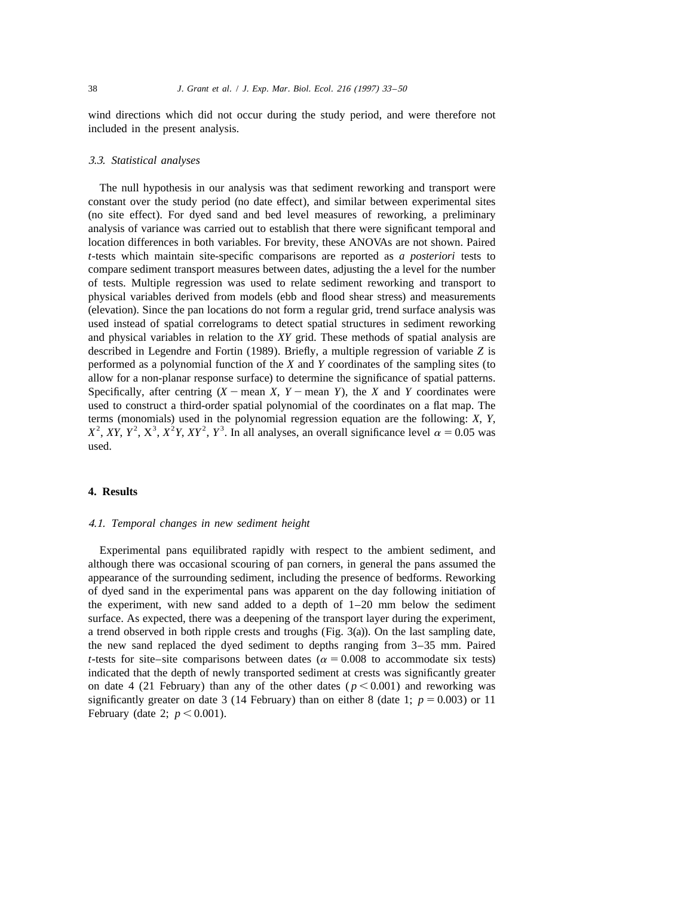wind directions which did not occur during the study period, and were therefore not included in the present analysis.

#### 3.3. *Statistical analyses*

The null hypothesis in our analysis was that sediment reworking and transport were constant over the study period (no date effect), and similar between experimental sites (no site effect). For dyed sand and bed level measures of reworking, a preliminary analysis of variance was carried out to establish that there were significant temporal and location differences in both variables. For brevity, these ANOVAs are not shown. Paired *t*-tests which maintain site-specific comparisons are reported as *a posteriori* tests to compare sediment transport measures between dates, adjusting the a level for the number of tests. Multiple regression was used to relate sediment reworking and transport to physical variables derived from models (ebb and flood shear stress) and measurements (elevation). Since the pan locations do not form a regular grid, trend surface analysis was used instead of spatial correlograms to detect spatial structures in sediment reworking and physical variables in relation to the *XY* grid. These methods of spatial analysis are described in Legendre and Fortin (1989). Briefly, a multiple regression of variable *Z* is performed as a polynomial function of the *X* and *Y* coordinates of the sampling sites (to allow for a non-planar response surface) to determine the significance of spatial patterns. Specifically, after centring  $(X - \text{mean } X, Y - \text{mean } Y)$ , the *X* and *Y* coordinates were used to construct a third-order spatial polynomial of the coordinates on a flat map. The terms (monomials) used in the polynomial regression equation are the following: X, Y,  $X^2$ ,  $XY$ ,  $Y^2$ ,  $X^3$ ,  $X^2Y$ ,  $XY^2$ ,  $Y^3$ . In all analyses, an overall significance level  $\alpha = 0.05$  was used.

#### **4. Results**

#### 4.1. *Temporal changes in new sediment height*

Experimental pans equilibrated rapidly with respect to the ambient sediment, and although there was occasional scouring of pan corners, in general the pans assumed the appearance of the surrounding sediment, including the presence of bedforms. Reworking of dyed sand in the experimental pans was apparent on the day following initiation of the experiment, with new sand added to a depth of 1–20 mm below the sediment surface. As expected, there was a deepening of the transport layer during the experiment, a trend observed in both ripple crests and troughs (Fig. 3(a)). On the last sampling date, the new sand replaced the dyed sediment to depths ranging from 3–35 mm. Paired *t*-tests for site–site comparisons between dates ( $\alpha = 0.008$  to accommodate six tests) indicated that the depth of newly transported sediment at crests was significantly greater on date 4 (21 February) than any of the other dates ( $p < 0.001$ ) and reworking was significantly greater on date 3 (14 February) than on either 8 (date 1;  $p = 0.003$ ) or 11 February (date 2;  $p < 0.001$ ).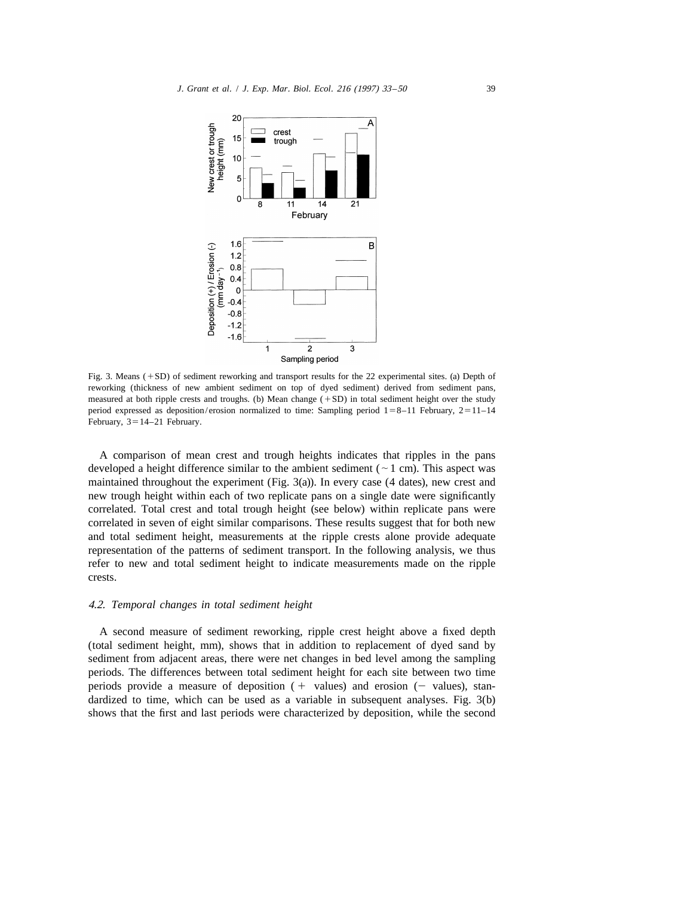

Fig. 3. Means  $(+SD)$  of sediment reworking and transport results for the 22 experimental sites. (a) Depth of reworking (thickness of new ambient sediment on top of dyed sediment) derived from sediment pans, measured at both ripple crests and troughs. (b) Mean change  $(+SD)$  in total sediment height over the study period expressed as deposition/erosion normalized to time: Sampling period  $1=8-11$  February,  $2=11-14$ February,  $3=14-21$  February.

A comparison of mean crest and trough heights indicates that ripples in the pans developed a height difference similar to the ambient sediment ( $\sim$  1 cm). This aspect was maintained throughout the experiment (Fig. 3(a)). In every case (4 dates), new crest and new trough height within each of two replicate pans on a single date were significantly correlated. Total crest and total trough height (see below) within replicate pans were correlated in seven of eight similar comparisons. These results suggest that for both new and total sediment height, measurements at the ripple crests alone provide adequate representation of the patterns of sediment transport. In the following analysis, we thus refer to new and total sediment height to indicate measurements made on the ripple crests.

## 4.2. *Temporal changes in total sediment height*

A second measure of sediment reworking, ripple crest height above a fixed depth (total sediment height, mm), shows that in addition to replacement of dyed sand by sediment from adjacent areas, there were net changes in bed level among the sampling periods. The differences between total sediment height for each site between two time periods provide a measure of deposition  $( + \text{ values})$  and erosion  $( - \text{ values})$ , standardized to time, which can be used as a variable in subsequent analyses. Fig. 3(b) shows that the first and last periods were characterized by deposition, while the second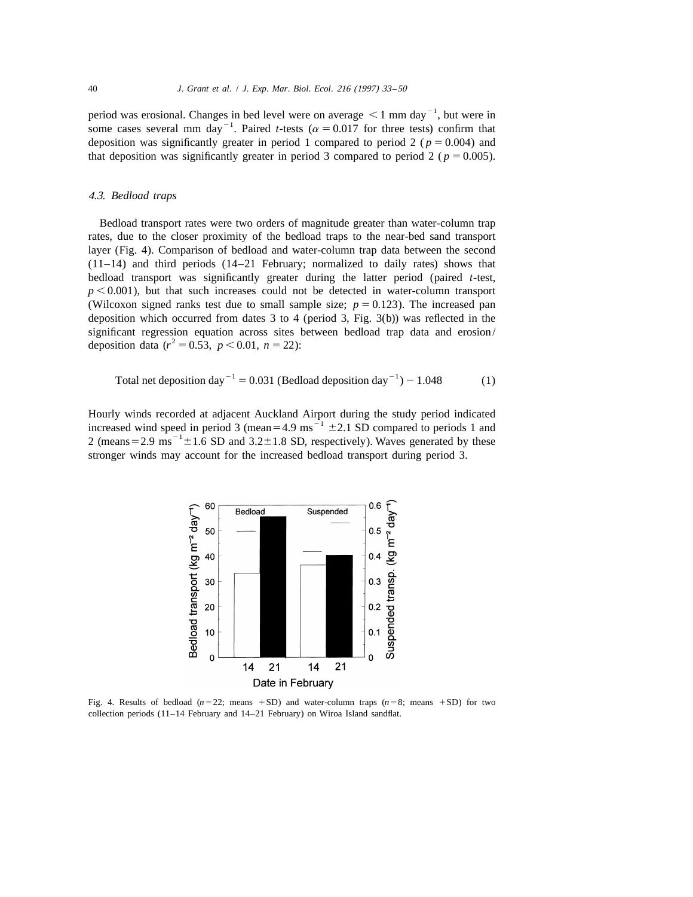period was erosional. Changes in bed level were on average  $\leq 1$  mm day<sup>-1</sup>, but were in some cases several mm day<sup>-1</sup>. Paired *t*-tests ( $\alpha$  = 0.017 for three tests) confirm that deposition was significantly greater in period 1 compared to period 2 ( $p = 0.004$ ) and that deposition was significantly greater in period 3 compared to period 2 ( $p = 0.005$ ).

# 4.3. *Bedload traps*

Bedload transport rates were two orders of magnitude greater than water-column trap rates, due to the closer proximity of the bedload traps to the near-bed sand transport layer (Fig. 4). Comparison of bedload and water-column trap data between the second (11–14) and third periods (14–21 February; normalized to daily rates) shows that bedload transport was significantly greater during the latter period (paired *t*-test,  $p \leq 0.001$ ), but that such increases could not be detected in water-column transport (Wilcoxon signed ranks test due to small sample size;  $p = 0.123$ ). The increased pan deposition which occurred from dates 3 to 4 (period 3, Fig. 3(b)) was reflected in the significant regression equation across sites between bedload trap data and erosion/ deposition data ( $r^2 = 0.53$ ,  $p < 0.01$ ,  $n = 22$ ):

<sup>2</sup><sup>1</sup> <sup>2</sup><sup>1</sup> Total net deposition day 5 0.031 (Bedload deposition day ) 2 1.048 (1)

Hourly winds recorded at adjacent Auckland Airport during the study period indicated<br>increased wind speed in period 3 (mean=4.9 ms<sup>-1</sup> ±2.1 SD compared to periods 1 and<br>2 (means=2.9 ms<sup>-1</sup>±1.6 SD and 3.2±1.8 SD, respectiv stronger winds may account for the increased bedload transport during period 3.



Fig. 4. Results of bedload  $(n=22;$  means  $+SD$ ) and water-column traps  $(n=8;$  means  $+SD)$  for two collection periods (11–14 February and 14–21 February) on Wiroa Island sandflat.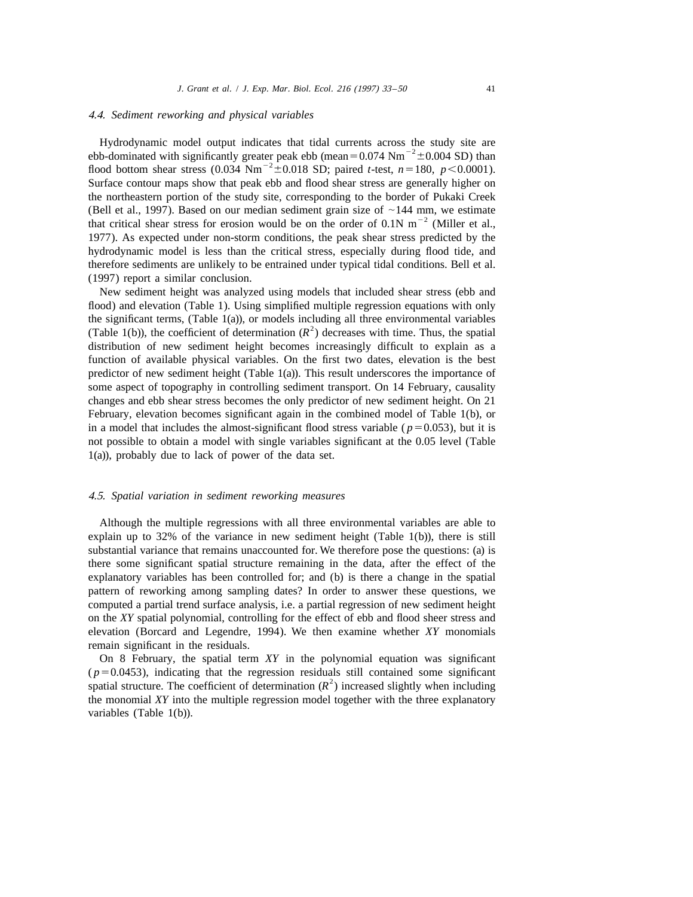## 4.4. *Sediment reworking and physical variables*

Hydrodynamic model output indicates that tidal currents across the study site are<br>ebb-dominated with significantly greater peak ebb (mean=0.074 Nm<sup>-2</sup>±0.004 SD) than<br>flood bottom shear stress (0.034 Nm<sup>-2</sup>±0.018 SD; paire Surface contour maps show that peak ebb and flood shear stress are generally higher on the northeastern portion of the study site, corresponding to the border of Pukaki Creek (Bell et al., 1997). Based on our median sediment grain size of  $\sim$ 144 mm, we estimate that critical shear stress for erosion would be on the order of 0.1N m<sup>-2</sup> (Miller et al., 1977). As expected under non-storm conditions, the peak shear stress predicted by the hydrodynamic model is less than the critical stress, especially during flood tide, and therefore sediments are unlikely to be entrained under typical tidal conditions. Bell et al. (1997) report a similar conclusion.

New sediment height was analyzed using models that included shear stress (ebb and flood) and elevation (Table 1). Using simplified multiple regression equations with only the significant terms, (Table 1(a)), or models including all three environmental variables (Table 1(b)), the coefficient of determination  $(R^2)$  decreases with time. Thus, the spatial distribution of new sediment height becomes increasingly difficult to explain as a function of available physical variables. On the first two dates, elevation is the best predictor of new sediment height (Table 1(a)). This result underscores the importance of some aspect of topography in controlling sediment transport. On 14 February, causality changes and ebb shear stress becomes the only predictor of new sediment height. On 21 February, elevation becomes significant again in the combined model of Table 1(b), or in a model that includes the almost-significant flood stress variable ( $p=0.053$ ), but it is not possible to obtain a model with single variables significant at the 0.05 level (Table 1(a)), probably due to lack of power of the data set.

#### 4.5. *Spatial variation in sediment reworking measures*

Although the multiple regressions with all three environmental variables are able to explain up to 32% of the variance in new sediment height (Table 1(b)), there is still substantial variance that remains unaccounted for. We therefore pose the questions: (a) is there some significant spatial structure remaining in the data, after the effect of the explanatory variables has been controlled for; and (b) is there a change in the spatial pattern of reworking among sampling dates? In order to answer these questions, we computed a partial trend surface analysis, i.e. a partial regression of new sediment height on the *XY* spatial polynomial, controlling for the effect of ebb and flood sheer stress and elevation (Borcard and Legendre, 1994). We then examine whether *XY* monomials remain significant in the residuals.

On 8 February, the spatial term *XY* in the polynomial equation was significant ( $p=0.0453$ ), indicating that the regression residuals still contained some significant spatial structure. The coefficient of determination ( $R<sup>2</sup>$ ) increased slightly when including the monomial *XY* into the multiple regression model together with the three explanatory variables (Table 1(b)).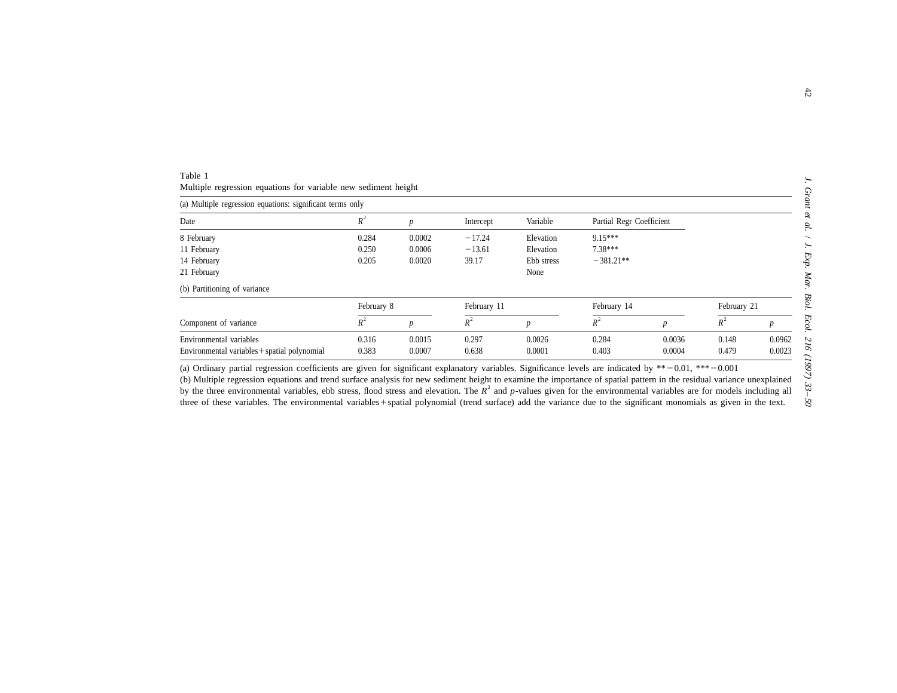| Table 1                                                        |  |  |  |
|----------------------------------------------------------------|--|--|--|
| Multiple regression equations for variable new sediment height |  |  |  |

| (a) Multiple regression equations: significant terms only |                           |        |           |                  |                          |                  |       |        |
|-----------------------------------------------------------|---------------------------|--------|-----------|------------------|--------------------------|------------------|-------|--------|
| Date                                                      | $R^2$                     |        | Intercept | Variable         | Partial Regr Coefficient |                  |       |        |
| 8 February                                                | 0.284                     | 0.0002 | $-17.24$  | Elevation        | $9.15***$                |                  |       |        |
| 11 February                                               | 0.250                     | 0.0006 | $-13.61$  | Elevation        | $7.38***$                |                  |       |        |
| 14 February                                               | 0.205                     | 0.0020 | 39.17     | Ebb stress       | $-381.21**$              |                  |       |        |
| 21 February                                               |                           |        |           | None             |                          |                  |       |        |
| (b) Partitioning of variance                              |                           |        |           |                  |                          |                  |       |        |
|                                                           | February 8<br>February 11 |        |           | February 14      |                          | February 21      |       |        |
| Component of variance                                     | $R^2$                     | p      | $R^2$     | $\boldsymbol{D}$ | $R^2$                    | $\boldsymbol{p}$ | $R^2$ |        |
| Environmental variables                                   | 0.316                     | 0.0015 | 0.297     | 0.0026           | 0.284                    | 0.0036           | 0.148 | 0.0962 |
| Environmental variables + spatial polynomial              | 0.383                     | 0.0007 | 0.638     | 0.0001           | 0.403                    | 0.0004           | 0.479 | 0.0023 |

(a) Ordinary partial regression coefficients are given for significant explanatory variables. Significance levels are indicated by  $**=0.01$ ,  $***=0.001$ 

(b) Multiple regression equations and trend surface analysis for new sediment height to examine the importance of spatial pattern in the residual variance unexplained by the three environmental variables, ebb stress, flood stress and elevation. The  $R<sup>2</sup>$  and p-values given for the environmental variables are for models including all three of these variables. The environmental variables+spatial polynomial (trend surface) add the variance due to the significant monomials as given in the text.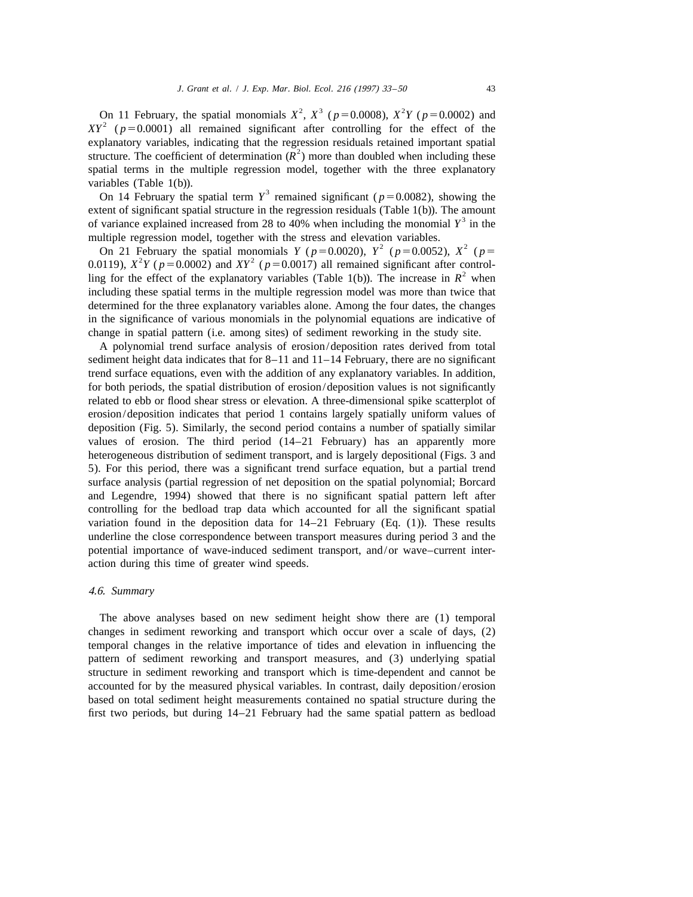On 11 February, the spatial monomials  $X^2$ ,  $X^3$  ( $p=0.0008$ ),  $X^2Y$  ( $p=0.0002$ ) and  $XY^2$  ( $p=0.0001$ ) all remained significant after controlling for the effect of the explanatory variables, indicating that the regression residuals retained important spatial structure. The coefficient of determination  $(R^2)$  more than doubled when including these spatial terms in the multiple regression model, together with the three explanatory variables (Table 1(b)).<br>3 On 14 February the spatial term  $Y^3$  remained significant ( $p=0.0082$ ), showing the

extent of significant spatial structure in the regression residuals (Table 1(b)). The amount of variance explained increased from 28 to 40% when including the monomial  $Y^3$  in the

multiple regression model, together with the stress and elevation variables.<br>On 21 February the spatial monomials  $Y (p=0.0020)$ ,  $Y^2 (p=0.0052)$ ,  $X^2 (p=0.0119)$ ,  $X^2 Y (p=0.0002)$  and  $XY^2 (p=0.0017)$  all remained signific including these spatial terms in the multiple regression model was more than twice that determined for the three explanatory variables alone. Among the four dates, the changes in the significance of various monomials in the polynomial equations are indicative of change in spatial pattern (i.e. among sites) of sediment reworking in the study site.

A polynomial trend surface analysis of erosion/deposition rates derived from total sediment height data indicates that for 8–11 and 11–14 February, there are no significant trend surface equations, even with the addition of any explanatory variables. In addition, for both periods, the spatial distribution of erosion/deposition values is not significantly related to ebb or flood shear stress or elevation. A three-dimensional spike scatterplot of erosion/deposition indicates that period 1 contains largely spatially uniform values of deposition (Fig. 5). Similarly, the second period contains a number of spatially similar values of erosion. The third period (14–21 February) has an apparently more heterogeneous distribution of sediment transport, and is largely depositional (Figs. 3 and 5). For this period, there was a significant trend surface equation, but a partial trend surface analysis (partial regression of net deposition on the spatial polynomial; Borcard and Legendre, 1994) showed that there is no significant spatial pattern left after controlling for the bedload trap data which accounted for all the significant spatial variation found in the deposition data for  $14-21$  February (Eq. (1)). These results underline the close correspondence between transport measures during period 3 and the potential importance of wave-induced sediment transport, and/or wave–current interaction during this time of greater wind speeds.

## 4.6. *Summary*

The above analyses based on new sediment height show there are (1) temporal changes in sediment reworking and transport which occur over a scale of days, (2) temporal changes in the relative importance of tides and elevation in influencing the pattern of sediment reworking and transport measures, and (3) underlying spatial structure in sediment reworking and transport which is time-dependent and cannot be accounted for by the measured physical variables. In contrast, daily deposition/erosion based on total sediment height measurements contained no spatial structure during the first two periods, but during 14–21 February had the same spatial pattern as bedload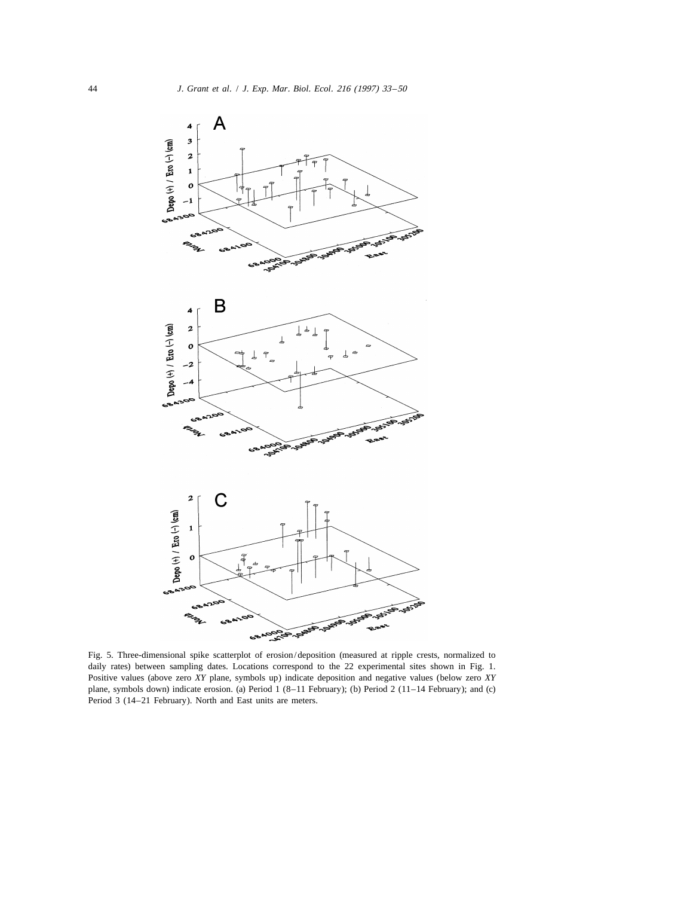

Fig. 5. Three-dimensional spike scatterplot of erosion/deposition (measured at ripple crests, normalized to daily rates) between sampling dates. Locations correspond to the 22 experimental sites shown in Fig. 1. Positive values (above zero *XY* plane, symbols up) indicate deposition and negative values (below zero *XY* plane, symbols down) indicate erosion. (a) Period 1 (8–11 February); (b) Period 2 (11–14 February); and (c) Period 3 (14–21 February). North and East units are meters.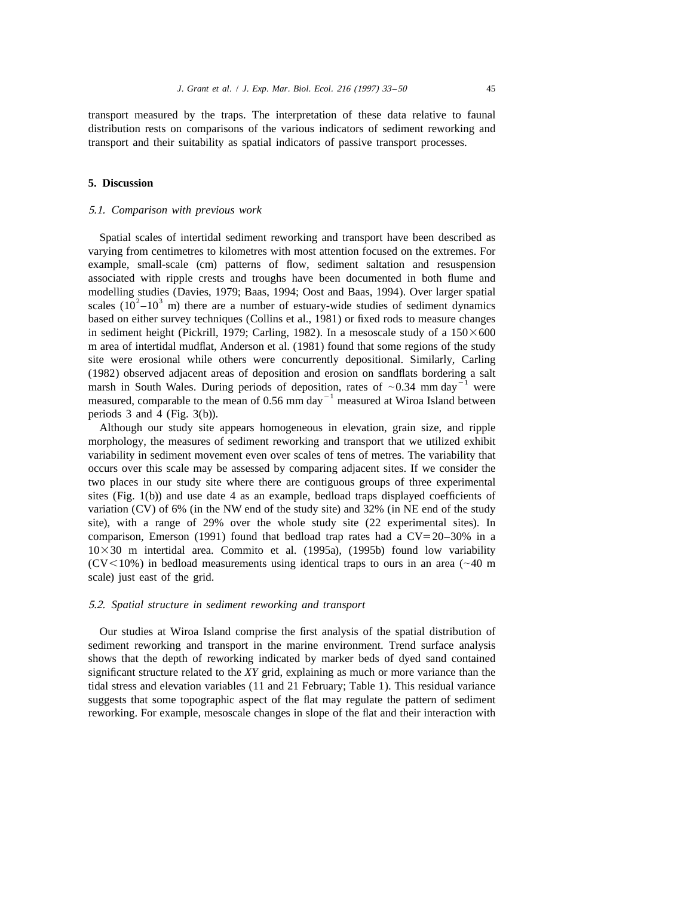transport measured by the traps. The interpretation of these data relative to faunal distribution rests on comparisons of the various indicators of sediment reworking and transport and their suitability as spatial indicators of passive transport processes.

# **5. Discussion**

## 5.1. *Comparison with previous work*

Spatial scales of intertidal sediment reworking and transport have been described as varying from centimetres to kilometres with most attention focused on the extremes. For example, small-scale (cm) patterns of flow, sediment saltation and resuspension associated with ripple crests and troughs have been documented in both flume and modelling studies (Davies, 1979; Baas, 1994; Oost and Baas, 1994). Over larger spatial scales  $(10^2-10^3 \text{ m})$  there are a number of estuary-wide studies of sediment dynamics based on either survey techniques (Collins et al., 1981) or fixed rods to measure changes in sediment height (Pickrill, 1979; Carling, 1982). In a mesoscale study of a  $150 \times 600$ m area of intertidal mudflat, Anderson et al. (1981) found that some regions of the study site were erosional while others were concurrently depositional. Similarly, Carling (1982) observed adjacent areas of deposition and erosion on sandflats bordering a salt<br>marsh in South Wales. During periods of deposition, rates of  $\sim 0.34$  mm day<sup>-1</sup> were<br>measured, comparable to the mean of 0.56 mm day periods 3 and 4 (Fig. 3(b)).

Although our study site appears homogeneous in elevation, grain size, and ripple morphology, the measures of sediment reworking and transport that we utilized exhibit variability in sediment movement even over scales of tens of metres. The variability that occurs over this scale may be assessed by comparing adjacent sites. If we consider the two places in our study site where there are contiguous groups of three experimental sites (Fig. 1(b)) and use date 4 as an example, bedload traps displayed coefficients of variation (CV) of 6% (in the NW end of the study site) and 32% (in NE end of the study site), with a range of 29% over the whole study site (22 experimental sites). In comparison, Emerson (1991) found that bedload trap rates had a  $CV=20-30\%$  in a  $10\times30$  m intertidal area. Commito et al. (1995a), (1995b) found low variability ( $CV < 10\%$ ) in bedload measurements using identical traps to ours in an area ( $\sim 40$  m scale) just east of the grid.

## 5.2. *Spatial structure in sediment reworking and transport*

Our studies at Wiroa Island comprise the first analysis of the spatial distribution of sediment reworking and transport in the marine environment. Trend surface analysis shows that the depth of reworking indicated by marker beds of dyed sand contained significant structure related to the *XY* grid, explaining as much or more variance than the tidal stress and elevation variables (11 and 21 February; Table 1). This residual variance suggests that some topographic aspect of the flat may regulate the pattern of sediment reworking. For example, mesoscale changes in slope of the flat and their interaction with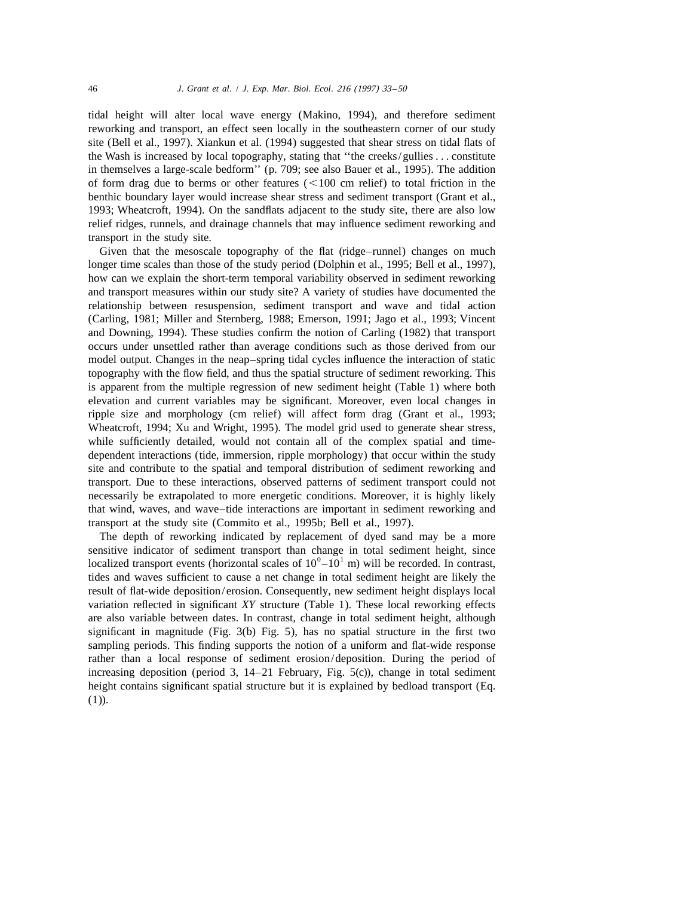tidal height will alter local wave energy (Makino, 1994), and therefore sediment reworking and transport, an effect seen locally in the southeastern corner of our study site (Bell et al., 1997). Xiankun et al. (1994) suggested that shear stress on tidal flats of the Wash is increased by local topography, stating that ''the creeks/gullies... constitute in themselves a large-scale bedform'' (p. 709; see also Bauer et al., 1995). The addition of form drag due to berms or other features  $(<100$  cm relief) to total friction in the benthic boundary layer would increase shear stress and sediment transport (Grant et al., 1993; Wheatcroft, 1994). On the sandflats adjacent to the study site, there are also low relief ridges, runnels, and drainage channels that may influence sediment reworking and transport in the study site.

Given that the mesoscale topography of the flat (ridge–runnel) changes on much longer time scales than those of the study period (Dolphin et al., 1995; Bell et al., 1997), how can we explain the short-term temporal variability observed in sediment reworking and transport measures within our study site? A variety of studies have documented the relationship between resuspension, sediment transport and wave and tidal action (Carling, 1981; Miller and Sternberg, 1988; Emerson, 1991; Jago et al., 1993; Vincent and Downing, 1994). These studies confirm the notion of Carling (1982) that transport occurs under unsettled rather than average conditions such as those derived from our model output. Changes in the neap–spring tidal cycles influence the interaction of static topography with the flow field, and thus the spatial structure of sediment reworking. This is apparent from the multiple regression of new sediment height (Table 1) where both elevation and current variables may be significant. Moreover, even local changes in ripple size and morphology (cm relief) will affect form drag (Grant et al., 1993; Wheatcroft, 1994; Xu and Wright, 1995). The model grid used to generate shear stress, while sufficiently detailed, would not contain all of the complex spatial and timedependent interactions (tide, immersion, ripple morphology) that occur within the study site and contribute to the spatial and temporal distribution of sediment reworking and transport. Due to these interactions, observed patterns of sediment transport could not necessarily be extrapolated to more energetic conditions. Moreover, it is highly likely that wind, waves, and wave–tide interactions are important in sediment reworking and transport at the study site (Commito et al., 1995b; Bell et al., 1997).

The depth of reworking indicated by replacement of dyed sand may be a more sensitive indicator of sediment transport than change in total sediment height, since localized transport events (horizontal scales of  $10^0 - 10^1$  m) will be recorded. In contrast, tides and waves sufficient to cause a net change in total sediment height are likely the result of flat-wide deposition/erosion. Consequently, new sediment height displays local variation reflected in significant *XY* structure (Table 1). These local reworking effects are also variable between dates. In contrast, change in total sediment height, although significant in magnitude (Fig. 3(b) Fig. 5), has no spatial structure in the first two sampling periods. This finding supports the notion of a uniform and flat-wide response rather than a local response of sediment erosion/deposition. During the period of increasing deposition (period 3, 14–21 February, Fig. 5(c)), change in total sediment height contains significant spatial structure but it is explained by bedload transport (Eq.  $(1)$ ).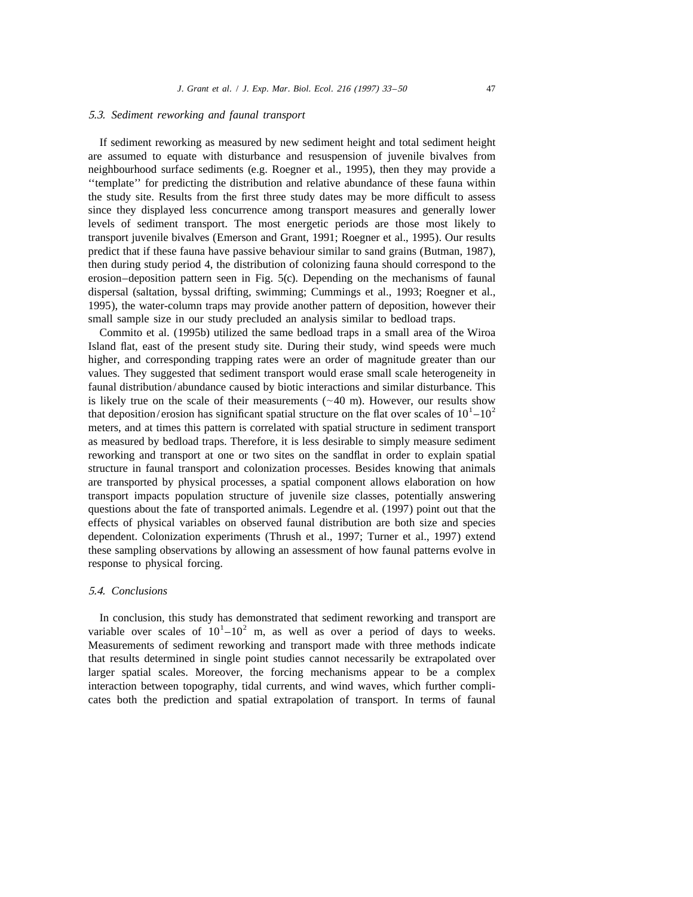## 5.3. *Sediment reworking and faunal transport*

If sediment reworking as measured by new sediment height and total sediment height are assumed to equate with disturbance and resuspension of juvenile bivalves from neighbourhood surface sediments (e.g. Roegner et al., 1995), then they may provide a ''template'' for predicting the distribution and relative abundance of these fauna within the study site. Results from the first three study dates may be more difficult to assess since they displayed less concurrence among transport measures and generally lower levels of sediment transport. The most energetic periods are those most likely to transport juvenile bivalves (Emerson and Grant, 1991; Roegner et al., 1995). Our results predict that if these fauna have passive behaviour similar to sand grains (Butman, 1987), then during study period 4, the distribution of colonizing fauna should correspond to the erosion–deposition pattern seen in Fig. 5(c). Depending on the mechanisms of faunal dispersal (saltation, byssal drifting, swimming; Cummings et al., 1993; Roegner et al., 1995), the water-column traps may provide another pattern of deposition, however their small sample size in our study precluded an analysis similar to bedload traps.

Commito et al. (1995b) utilized the same bedload traps in a small area of the Wiroa Island flat, east of the present study site. During their study, wind speeds were much higher, and corresponding trapping rates were an order of magnitude greater than our values. They suggested that sediment transport would erase small scale heterogeneity in faunal distribution/abundance caused by biotic interactions and similar disturbance. This is likely true on the scale of their measurements ( $\sim$ 40 m). However, our results show that deposition/erosion has significant spatial structure on the flat over scales of  $10^{1}-10^{2}$ meters, and at times this pattern is correlated with spatial structure in sediment transport as measured by bedload traps. Therefore, it is less desirable to simply measure sediment reworking and transport at one or two sites on the sandflat in order to explain spatial structure in faunal transport and colonization processes. Besides knowing that animals are transported by physical processes, a spatial component allows elaboration on how transport impacts population structure of juvenile size classes, potentially answering questions about the fate of transported animals. Legendre et al. (1997) point out that the effects of physical variables on observed faunal distribution are both size and species dependent. Colonization experiments (Thrush et al., 1997; Turner et al., 1997) extend these sampling observations by allowing an assessment of how faunal patterns evolve in response to physical forcing.

## 5.4. *Conclusions*

In conclusion, this study has demonstrated that sediment reworking and transport are variable over scales of  $10<sup>1</sup> - 10<sup>2</sup>$  m, as well as over a period of days to weeks. Measurements of sediment reworking and transport made with three methods indicate that results determined in single point studies cannot necessarily be extrapolated over larger spatial scales. Moreover, the forcing mechanisms appear to be a complex interaction between topography, tidal currents, and wind waves, which further complicates both the prediction and spatial extrapolation of transport. In terms of faunal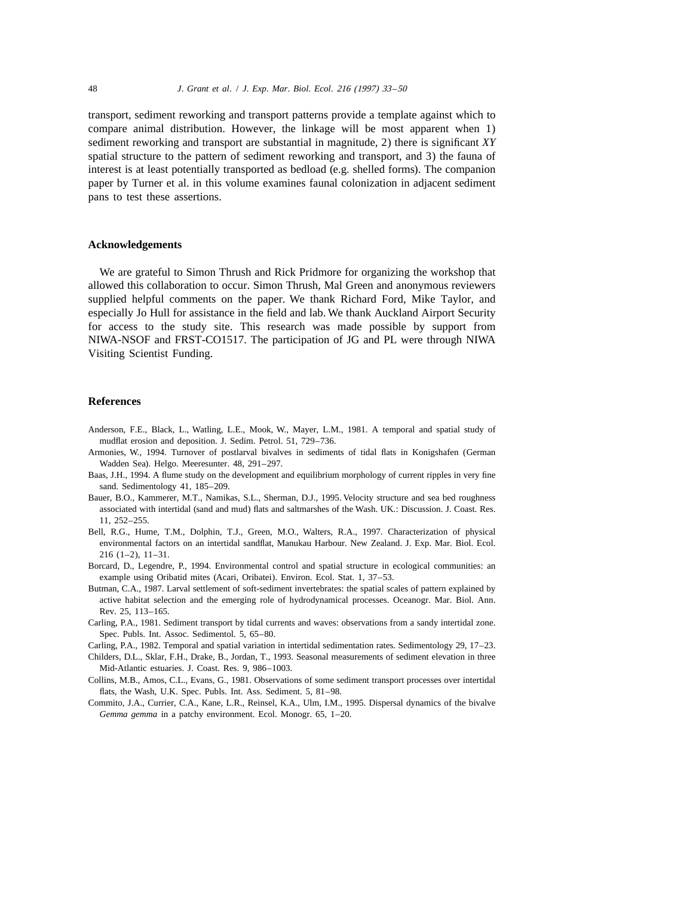transport, sediment reworking and transport patterns provide a template against which to compare animal distribution. However, the linkage will be most apparent when 1) sediment reworking and transport are substantial in magnitude, 2) there is significant *XY* spatial structure to the pattern of sediment reworking and transport, and 3) the fauna of interest is at least potentially transported as bedload (e.g. shelled forms). The companion paper by Turner et al. in this volume examines faunal colonization in adjacent sediment pans to test these assertions.

## **Acknowledgements**

We are grateful to Simon Thrush and Rick Pridmore for organizing the workshop that allowed this collaboration to occur. Simon Thrush, Mal Green and anonymous reviewers supplied helpful comments on the paper. We thank Richard Ford, Mike Taylor, and especially Jo Hull for assistance in the field and lab. We thank Auckland Airport Security for access to the study site. This research was made possible by support from NIWA-NSOF and FRST-CO1517. The participation of JG and PL were through NIWA Visiting Scientist Funding.

# **References**

- Anderson, F.E., Black, L., Watling, L.E., Mook, W., Mayer, L.M., 1981. A temporal and spatial study of mudflat erosion and deposition. J. Sedim. Petrol. 51, 729–736.
- Armonies, W., 1994. Turnover of postlarval bivalves in sediments of tidal flats in Konigshafen (German Wadden Sea). Helgo. Meeresunter. 48, 291–297.
- Baas, J.H., 1994. A flume study on the development and equilibrium morphology of current ripples in very fine sand. Sedimentology 41, 185–209.
- Bauer, B.O., Kammerer, M.T., Namikas, S.L., Sherman, D.J., 1995. Velocity structure and sea bed roughness associated with intertidal (sand and mud) flats and saltmarshes of the Wash. UK.: Discussion. J. Coast. Res. 11, 252–255.
- Bell, R.G., Hume, T.M., Dolphin, T.J., Green, M.O., Walters, R.A., 1997. Characterization of physical environmental factors on an intertidal sandflat, Manukau Harbour. New Zealand. J. Exp. Mar. Biol. Ecol. 216 (1–2), 11–31.
- Borcard, D., Legendre, P., 1994. Environmental control and spatial structure in ecological communities: an example using Oribatid mites (Acari, Oribatei). Environ. Ecol. Stat. 1, 37–53.
- Butman, C.A., 1987. Larval settlement of soft-sediment invertebrates: the spatial scales of pattern explained by active habitat selection and the emerging role of hydrodynamical processes. Oceanogr. Mar. Biol. Ann. Rev. 25, 113–165.
- Carling, P.A., 1981. Sediment transport by tidal currents and waves: observations from a sandy intertidal zone. Spec. Publs. Int. Assoc. Sedimentol. 5, 65–80.
- Carling, P.A., 1982. Temporal and spatial variation in intertidal sedimentation rates. Sedimentology 29, 17–23.
- Childers, D.L., Sklar, F.H., Drake, B., Jordan, T., 1993. Seasonal measurements of sediment elevation in three Mid-Atlantic estuaries. J. Coast. Res. 9, 986–1003.
- Collins, M.B., Amos, C.L., Evans, G., 1981. Observations of some sediment transport processes over intertidal flats, the Wash, U.K. Spec. Publs. Int. Ass. Sediment. 5, 81–98.
- Commito, J.A., Currier, C.A., Kane, L.R., Reinsel, K.A., Ulm, I.M., 1995. Dispersal dynamics of the bivalve *Gemma gemma* in a patchy environment. Ecol. Monogr. 65, 1–20.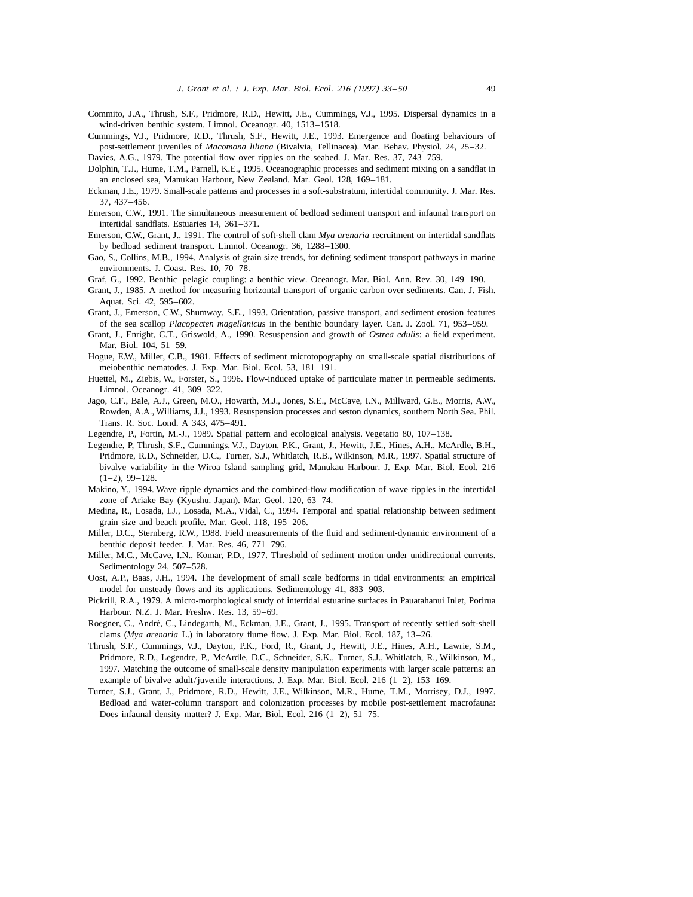- Commito, J.A., Thrush, S.F., Pridmore, R.D., Hewitt, J.E., Cummings, V.J., 1995. Dispersal dynamics in a wind-driven benthic system. Limnol. Oceanogr. 40, 1513–1518.
- Cummings, V.J., Pridmore, R.D., Thrush, S.F., Hewitt, J.E., 1993. Emergence and floating behaviours of post-settlement juveniles of *Macomona liliana* (Bivalvia, Tellinacea). Mar. Behav. Physiol. 24, 25–32.
- Davies, A.G., 1979. The potential flow over ripples on the seabed. J. Mar. Res. 37, 743–759.
- Dolphin, T.J., Hume, T.M., Parnell, K.E., 1995. Oceanographic processes and sediment mixing on a sandflat in an enclosed sea, Manukau Harbour, New Zealand. Mar. Geol. 128, 169–181.
- Eckman, J.E., 1979. Small-scale patterns and processes in a soft-substratum, intertidal community. J. Mar. Res. 37, 437–456.
- Emerson, C.W., 1991. The simultaneous measurement of bedload sediment transport and infaunal transport on intertidal sandflats. Estuaries 14, 361–371.
- Emerson, C.W., Grant, J., 1991. The control of soft-shell clam *Mya arenaria* recruitment on intertidal sandflats by bedload sediment transport. Limnol. Oceanogr. 36, 1288–1300.
- Gao, S., Collins, M.B., 1994. Analysis of grain size trends, for defining sediment transport pathways in marine environments. J. Coast. Res. 10, 70–78.
- Graf, G., 1992. Benthic–pelagic coupling: a benthic view. Oceanogr. Mar. Biol. Ann. Rev. 30, 149–190.
- Grant, J., 1985. A method for measuring horizontal transport of organic carbon over sediments. Can. J. Fish. Aquat. Sci. 42, 595–602.
- Grant, J., Emerson, C.W., Shumway, S.E., 1993. Orientation, passive transport, and sediment erosion features of the sea scallop *Placopecten magellanicus* in the benthic boundary layer. Can. J. Zool. 71, 953–959.
- Grant, J., Enright, C.T., Griswold, A., 1990. Resuspension and growth of *Ostrea edulis*: a field experiment. Mar. Biol. 104, 51–59.
- Hogue, E.W., Miller, C.B., 1981. Effects of sediment microtopography on small-scale spatial distributions of meiobenthic nematodes. J. Exp. Mar. Biol. Ecol. 53, 181–191.
- Huettel, M., Ziebis, W., Forster, S., 1996. Flow-induced uptake of particulate matter in permeable sediments. Limnol. Oceanogr. 41, 309–322.
- Jago, C.F., Bale, A.J., Green, M.O., Howarth, M.J., Jones, S.E., McCave, I.N., Millward, G.E., Morris, A.W., Rowden, A.A., Williams, J.J., 1993. Resuspension processes and seston dynamics, southern North Sea. Phil. Trans. R. Soc. Lond. A 343, 475–491.
- Legendre, P., Fortin, M.-J., 1989. Spatial pattern and ecological analysis. Vegetatio 80, 107–138.
- Legendre, P, Thrush, S.F., Cummings, V.J., Dayton, P.K., Grant, J., Hewitt, J.E., Hines, A.H., McArdle, B.H., Pridmore, R.D., Schneider, D.C., Turner, S.J., Whitlatch, R.B., Wilkinson, M.R., 1997. Spatial structure of bivalve variability in the Wiroa Island sampling grid, Manukau Harbour. J. Exp. Mar. Biol. Ecol. 216  $(1-2)$ , 99-128.
- Makino, Y., 1994. Wave ripple dynamics and the combined-flow modification of wave ripples in the intertidal zone of Ariake Bay (Kyushu. Japan). Mar. Geol. 120, 63–74.
- Medina, R., Losada, I.J., Losada, M.A., Vidal, C., 1994. Temporal and spatial relationship between sediment grain size and beach profile. Mar. Geol. 118, 195–206.
- Miller, D.C., Sternberg, R.W., 1988. Field measurements of the fluid and sediment-dynamic environment of a benthic deposit feeder. J. Mar. Res. 46, 771–796.
- Miller, M.C., McCave, I.N., Komar, P.D., 1977. Threshold of sediment motion under unidirectional currents. Sedimentology 24, 507–528.
- Oost, A.P., Baas, J.H., 1994. The development of small scale bedforms in tidal environments: an empirical model for unsteady flows and its applications. Sedimentology 41, 883–903.
- Pickrill, R.A., 1979. A micro-morphological study of intertidal estuarine surfaces in Pauatahanui Inlet, Porirua Harbour. N.Z. J. Mar. Freshw. Res. 13, 59–69.
- Roegner, C., André, C., Lindegarth, M., Eckman, J.E., Grant, J., 1995. Transport of recently settled soft-shell clams (*Mya arenaria* L.) in laboratory flume flow. J. Exp. Mar. Biol. Ecol. 187, 13–26.
- Thrush, S.F., Cummings, V.J., Dayton, P.K., Ford, R., Grant, J., Hewitt, J.E., Hines, A.H., Lawrie, S.M., Pridmore, R.D., Legendre, P., McArdle, D.C., Schneider, S.K., Turner, S.J., Whitlatch, R., Wilkinson, M., 1997. Matching the outcome of small-scale density manipulation experiments with larger scale patterns: an example of bivalve adult/juvenile interactions. J. Exp. Mar. Biol. Ecol. 216  $(1-2)$ , 153-169.
- Turner, S.J., Grant, J., Pridmore, R.D., Hewitt, J.E., Wilkinson, M.R., Hume, T.M., Morrisey, D.J., 1997. Bedload and water-column transport and colonization processes by mobile post-settlement macrofauna: Does infaunal density matter? J. Exp. Mar. Biol. Ecol. 216 (1–2), 51–75.